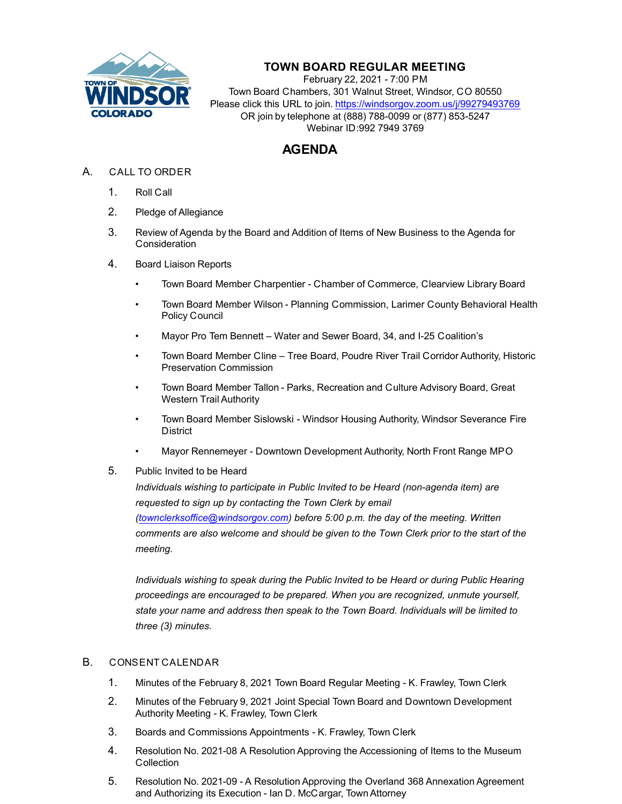

## **TOWN BOARD REGULAR MEETING**

February 22, 2021 - 7:00 PM Town Board Chambers, 301 Walnut Street, Windsor, CO 80550 Please click this URL to join. https://windsorgov.zoom.us/j/99279493769 OR join by telephone at (888) 788-0099 or (877) 853-5247 Webinar ID:992 7949 3769

# **AGENDA**

- A. CALL TO ORDER
	- 1. Roll Call
	- 2. Pledge of Allegiance
	- 3. Review of Agenda by the Board and Addition of Items of New Business to the Agenda for **Consideration**
	- 4. Board Liaison Reports
		- Town Board Member Charpentier Chamber of Commerce, Clearview Library Board
		- Town Board Member Wilson Planning Commission, Larimer County Behavioral Health Policy Council
		- Mayor Pro Tem Bennett Water and Sewer Board, 34, and I-25 Coalition's
		- Town Board Member Cline Tree Board, Poudre River Trail Corridor Authority, Historic Preservation Commission
		- Town Board Member Tallon Parks, Recreation and Culture Advisory Board, Great Western Trail Authority
		- Town Board Member Sislowski Windsor Housing Authority, Windsor Severance Fire District
		- Mayor Rennemeyer Downtown Development Authority, North Front Range MPO
	- 5. Public Invited to be Heard

*Individuals wishing to participate in Public Invited to be Heard (non-agenda item) are requested to sign up by contacting the Town Clerk by email (townclerksoffice@windsorgov.com) before 5:00 p.m. the day of the meeting. Written comments are also welcome and should be given to the Town Clerk prior to the start of the meeting.*

*Individuals wishing to speak during the Public Invited to be Heard or during Public Hearing proceedings are encouraged to be prepared. When you are recognized, unmute yourself, state your name and address then speak to the Town Board. Individuals will be limited to [three \(3\) minutes.](file:///C:/Windows/TEMP/CoverSheet.aspx?ItemID=1265&MeetingID=223)*

### B. CONSENT CALENDAR

- 1. [Minutes of the February 8, 2021 Town Board Regular Meeting K. Frawley, Town Clerk](file:///C:/Windows/TEMP/CoverSheet.aspx?ItemID=1264&MeetingID=223)
- 2. [Minutes of the February 9, 2021 Joint Special Town Board and Downtown Development](file:///C:/Windows/TEMP/CoverSheet.aspx?ItemID=1268&MeetingID=223)  Authority Meeting - K. Frawley, Town Clerk
- 3. [Boards and Commissions Appointments K. Frawley, Town Clerk](file:///C:/Windows/TEMP/CoverSheet.aspx?ItemID=1263&MeetingID=223)
- 4. Resolution No. 2021-08 A Resolution Approving the Accessioning of Items to the Museum **Collection**
- 5. Resolution No. 2021-09 A Resolution Approving the Overland 368 Annexation Agreement and Authorizing its Execution - Ian D. McCargar, Town Attorney